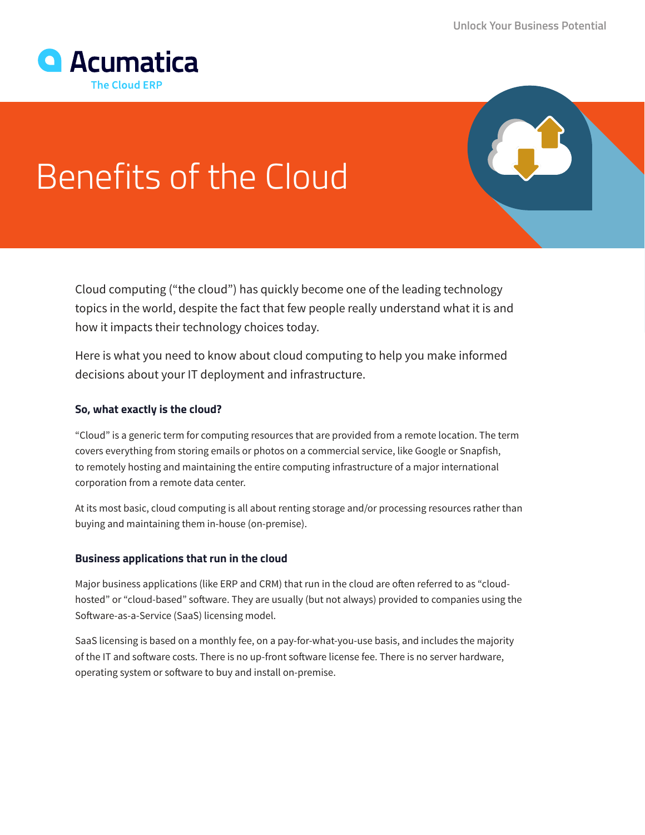

# Benefits of the Cloud

Cloud computing ("the cloud") has quickly become one of the leading technology topics in the world, despite the fact that few people really understand what it is and how it impacts their technology choices today.

Here is what you need to know about cloud computing to help you make informed decisions about your IT deployment and infrastructure.

## **So, what exactly is the cloud?**

"Cloud" is a generic term for computing resources that are provided from a remote location. The term covers everything from storing emails or photos on a commercial service, like Google or Snapfish, to remotely hosting and maintaining the entire computing infrastructure of a major international corporation from a remote data center.

At its most basic, cloud computing is all about renting storage and/or processing resources rather than buying and maintaining them in-house (on-premise).

## **Business applications that run in the cloud**

Major business applications (like ERP and CRM) that run in the cloud are often referred to as "cloudhosted" or "cloud-based" software. They are usually (but not always) provided to companies using the Software-as-a-Service (SaaS) licensing model.

SaaS licensing is based on a monthly fee, on a pay-for-what-you-use basis, and includes the majority of the IT and software costs. There is no up-front software license fee. There is no server hardware, operating system or software to buy and install on-premise.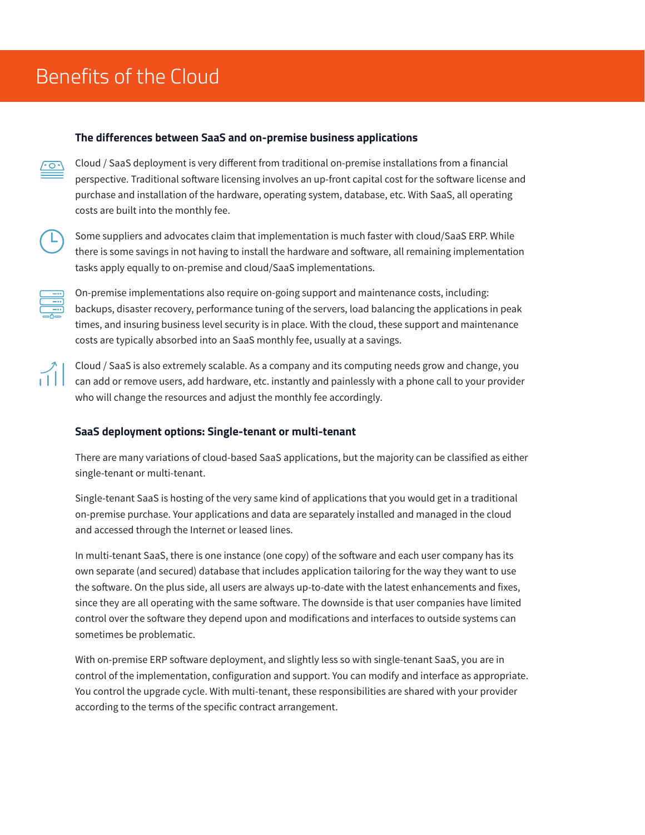#### **The differences between SaaS and on-premise business applications**

Cloud / SaaS deployment is very different from traditional on-premise installations from a financial perspective. Traditional software licensing involves an up-front capital cost for the software license and purchase and installation of the hardware, operating system, database, etc. With SaaS, all operating costs are built into the monthly fee.



Some suppliers and advocates claim that implementation is much faster with cloud/SaaS ERP. While there is some savings in not having to install the hardware and software, all remaining implementation tasks apply equally to on-premise and cloud/SaaS implementations.



On-premise implementations also require on-going support and maintenance costs, including: backups, disaster recovery, performance tuning of the servers, load balancing the applications in peak times, and insuring business level security is in place. With the cloud, these support and maintenance costs are typically absorbed into an SaaS monthly fee, usually at a savings.

Cloud / SaaS is also extremely scalable. As a company and its computing needs grow and change, you can add or remove users, add hardware, etc. instantly and painlessly with a phone call to your provider who will change the resources and adjust the monthly fee accordingly.

## **SaaS deployment options: Single-tenant or multi-tenant**

There are many variations of cloud-based SaaS applications, but the majority can be classified as either single-tenant or multi-tenant.

Single-tenant SaaS is hosting of the very same kind of applications that you would get in a traditional on-premise purchase. Your applications and data are separately installed and managed in the cloud and accessed through the Internet or leased lines.

In multi-tenant SaaS, there is one instance (one copy) of the software and each user company has its own separate (and secured) database that includes application tailoring for the way they want to use the software. On the plus side, all users are always up-to-date with the latest enhancements and fixes, since they are all operating with the same software. The downside is that user companies have limited control over the software they depend upon and modifications and interfaces to outside systems can sometimes be problematic.

With on-premise ERP software deployment, and slightly less so with single-tenant SaaS, you are in control of the implementation, configuration and support. You can modify and interface as appropriate. You control the upgrade cycle. With multi-tenant, these responsibilities are shared with your provider according to the terms of the specific contract arrangement.